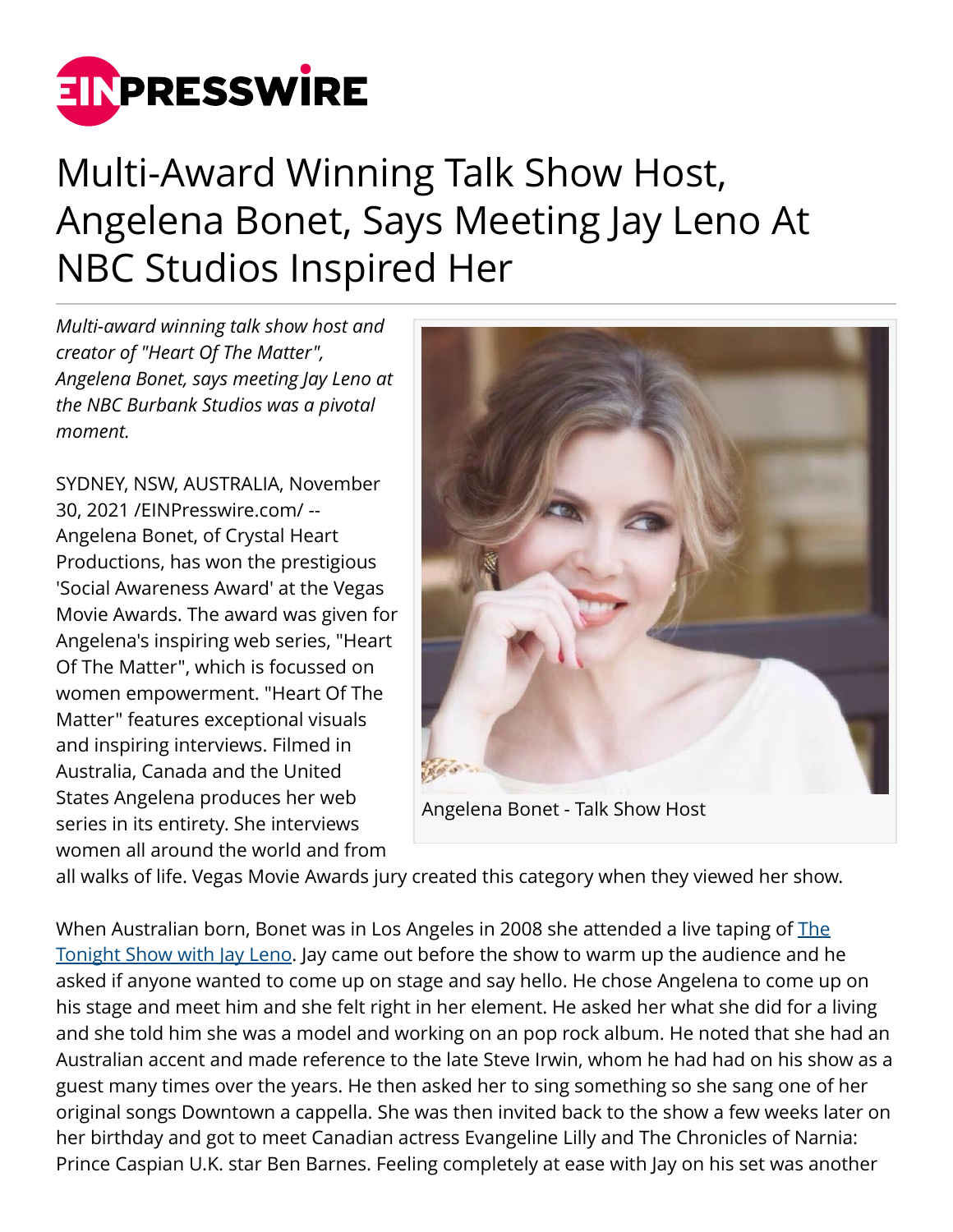

## Multi-Award Winning Talk Show Host, Angelena Bonet, Says Meeting Jay Leno At NBC Studios Inspired Her

*Multi-award winning talk show host and creator of "Heart Of The Matter", Angelena Bonet, says meeting Jay Leno at the NBC Burbank Studios was a pivotal moment.*

SYDNEY, NSW, AUSTRALIA, November 30, 2021 /[EINPresswire.com/](http://www.einpresswire.com) -- Angelena Bonet, of Crystal Heart Productions, has won the prestigious 'Social Awareness Award' at the Vegas Movie Awards. The award was given for Angelena's inspiring web series, "Heart Of The Matter", which is focussed on women empowerment. "Heart Of The Matter" features exceptional visuals and inspiring interviews. Filmed in Australia, Canada and the United States Angelena produces her web series in its entirety. She interviews women all around the world and from



Angelena Bonet - Talk Show Host

all walks of life. Vegas Movie Awards jury created this category when they viewed her show.

When Australian born, Bonet was in Los Angeles in 2008 she attended a live taping of [The](https://twitter.com/nbc) [Tonight Show with Jay Leno.](https://twitter.com/nbc) Jay came out before the show to warm up the audience and he asked if anyone wanted to come up on stage and say hello. He chose Angelena to come up on his stage and meet him and she felt right in her element. He asked her what she did for a living and she told him she was a model and working on an pop rock album. He noted that she had an Australian accent and made reference to the late Steve Irwin, whom he had had on his show as a guest many times over the years. He then asked her to sing something so she sang one of her original songs Downtown a cappella. She was then invited back to the show a few weeks later on her birthday and got to meet Canadian actress Evangeline Lilly and The Chronicles of Narnia: Prince Caspian U.K. star Ben Barnes. Feeling completely at ease with Jay on his set was another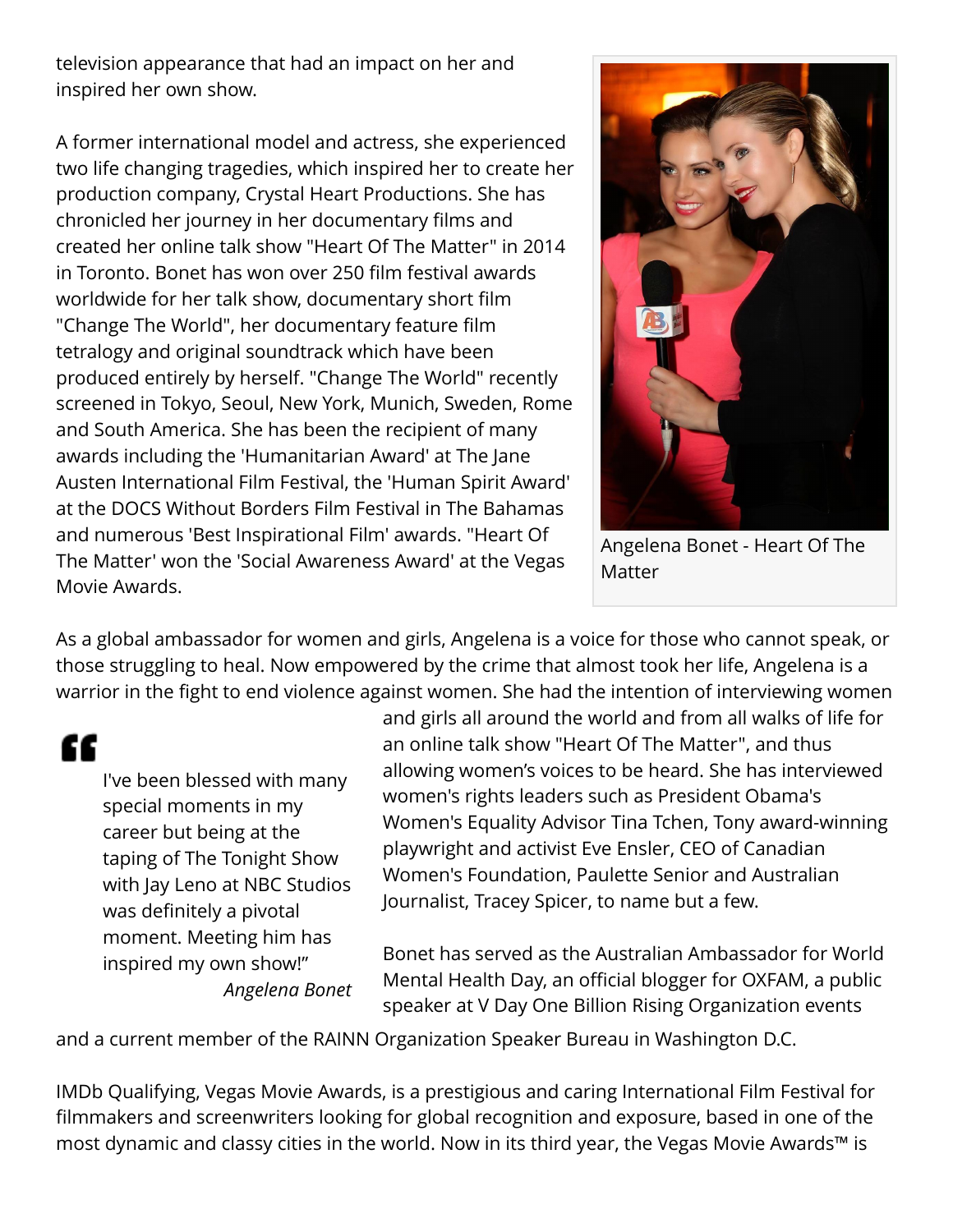television appearance that had an impact on her and inspired her own show.

A former international model and actress, she experienced two life changing tragedies, which inspired her to create her production company, Crystal Heart Productions. She has chronicled her journey in her documentary films and created her online talk show "Heart Of The Matter" in 2014 in Toronto. Bonet has won over 250 film festival awards worldwide for her talk show, documentary short film "Change The World", her documentary feature film tetralogy and original soundtrack which have been produced entirely by herself. "Change The World" recently screened in Tokyo, Seoul, New York, Munich, Sweden, Rome and South America. She has been the recipient of many awards including the 'Humanitarian Award' at The Jane Austen International Film Festival, the 'Human Spirit Award' at the DOCS Without Borders Film Festival in The Bahamas and numerous 'Best Inspirational Film' awards. "Heart Of The Matter' won the 'Social Awareness Award' at the Vegas Movie Awards.



Angelena Bonet - Heart Of The Matter

As a global ambassador for women and girls, Angelena is a voice for those who cannot speak, or those struggling to heal. Now empowered by the crime that almost took her life, Angelena is a warrior in the fight to end violence against women. She had the intention of interviewing women

"

I've been blessed with many special moments in my career but being at the taping of The Tonight Show with Jay Leno at NBC Studios was definitely a pivotal moment. Meeting him has inspired my own show!" *Angelena Bonet*

and girls all around the world and from all walks of life for an online talk show "Heart Of The Matter", and thus allowing women's voices to be heard. She has interviewed women's rights leaders such as President Obama's Women's Equality Advisor Tina Tchen, Tony award-winning playwright and activist Eve Ensler, CEO of Canadian Women's Foundation, Paulette Senior and Australian Journalist, Tracey Spicer, to name but a few.

Bonet has served as the Australian Ambassador for World Mental Health Day, an official blogger for OXFAM, a public speaker at V Day One Billion Rising Organization events

and a current member of the RAINN Organization Speaker Bureau in Washington D.C.

IMDb Qualifying, Vegas Movie Awards, is a prestigious and caring International Film Festival for filmmakers and screenwriters looking for global recognition and exposure, based in one of the most dynamic and classy cities in the world. Now in its third year, the Vegas Movie Awards<sup>™</sup> is